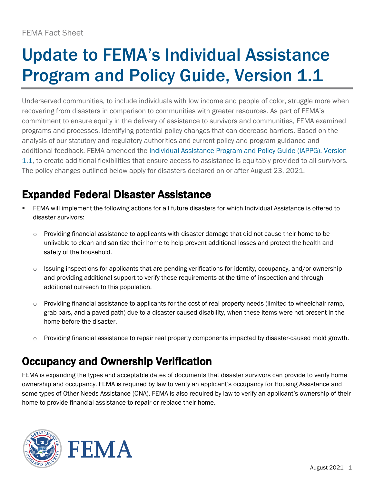# Update to FEMA's Individual Assistance **Program and Policy Guide, Version 1.1**

Underserved communities, to include individuals with low income and people of color, struggle more when recovering from disasters in comparison to communities with greater resources. As part of FEMA's commitment to ensure equity in the delivery of assistance to survivors and communities, FEMA examined programs and processes, identifying potential policy changes that can decrease barriers. Based on the analysis of our statutory and regulatory authorities and current policy and program guidance and additional feedback, FEMA amended the [Individual Assistance Program and Policy Guide \(IAPPG\), Version](https://www.fema.gov/sites/default/files/documents/fema_iappg-1.1.pdf)  [1.1,](https://www.fema.gov/sites/default/files/documents/fema_iappg-1.1.pdf) to create additional flexibilities that ensure access to assistance is equitably provided to all survivors. The policy changes outlined below apply for disasters declared on or after August 23, 2021.

## Expanded Federal Disaster Assistance

- FEMA will implement the following actions for all future disasters for which Individual Assistance is offered to disaster survivors:
	- $\circ$  Providing financial assistance to applicants with disaster damage that did not cause their home to be unlivable to clean and sanitize their home to help prevent additional losses and protect the health and safety of the household.
	- $\circ$  Issuing inspections for applicants that are pending verifications for identity, occupancy, and/or ownership and providing additional support to verify these requirements at the time of inspection and through additional outreach to this population.
	- $\circ$  Providing financial assistance to applicants for the cost of real property needs (limited to wheelchair ramp, grab bars, and a paved path) due to a disaster-caused disability, when these items were not present in the home before the disaster.
	- o Providing financial assistance to repair real property components impacted by disaster-caused mold growth.

### Occupancy and Ownership Verification

FEMA is expanding the types and acceptable dates of documents that disaster survivors can provide to verify home ownership and occupancy. FEMA is required by law to verify an applicant's occupancy for Housing Assistance and some types of Other Needs Assistance (ONA). FEMA is also required by law to verify an applicant's ownership of their home to provide financial assistance to repair or replace their home.



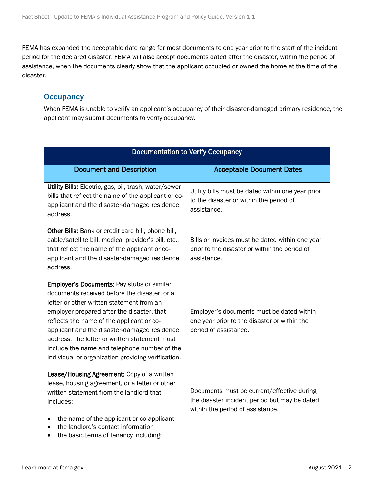FEMA has expanded the acceptable date range for most documents to one year prior to the start of the incident period for the declared disaster. FEMA will also accept documents dated after the disaster, within the period of assistance, when the documents clearly show that the applicant occupied or owned the home at the time of the disaster.

#### **Occupancy**

When FEMA is unable to verify an applicant's occupancy of their disaster-damaged primary residence, the applicant may submit documents to verify occupancy.

| <b>Documentation to Verify Occupancy</b>                                                                                                                                                                                                                                                                                                                                                                                                         |                                                                                                                                 |
|--------------------------------------------------------------------------------------------------------------------------------------------------------------------------------------------------------------------------------------------------------------------------------------------------------------------------------------------------------------------------------------------------------------------------------------------------|---------------------------------------------------------------------------------------------------------------------------------|
| <b>Document and Description</b>                                                                                                                                                                                                                                                                                                                                                                                                                  | <b>Acceptable Document Dates</b>                                                                                                |
| Utility Bills: Electric, gas, oil, trash, water/sewer<br>bills that reflect the name of the applicant or co-<br>applicant and the disaster-damaged residence<br>address.                                                                                                                                                                                                                                                                         | Utility bills must be dated within one year prior<br>to the disaster or within the period of<br>assistance.                     |
| Other Bills: Bank or credit card bill, phone bill,<br>cable/satellite bill, medical provider's bill, etc.,<br>that reflect the name of the applicant or co-<br>applicant and the disaster-damaged residence<br>address.                                                                                                                                                                                                                          | Bills or invoices must be dated within one year<br>prior to the disaster or within the period of<br>assistance.                 |
| <b>Employer's Documents: Pay stubs or similar</b><br>documents received before the disaster, or a<br>letter or other written statement from an<br>employer prepared after the disaster, that<br>reflects the name of the applicant or co-<br>applicant and the disaster-damaged residence<br>address. The letter or written statement must<br>include the name and telephone number of the<br>individual or organization providing verification. | Employer's documents must be dated within<br>one year prior to the disaster or within the<br>period of assistance.              |
| Lease/Housing Agreement: Copy of a written<br>lease, housing agreement, or a letter or other<br>written statement from the landlord that<br>includes:<br>the name of the applicant or co-applicant<br>$\bullet$<br>the landlord's contact information<br>$\bullet$<br>the basic terms of tenancy including:                                                                                                                                      | Documents must be current/effective during<br>the disaster incident period but may be dated<br>within the period of assistance. |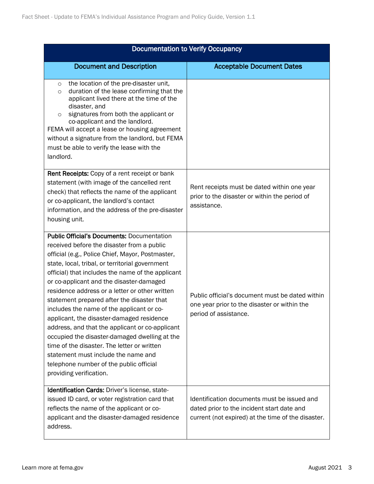| <b>Documentation to Verify Occupancy</b>                                                                                                                                                                                                                                                                                                                                                                                                                                                                                                                                                                                                                                                                                                                          |                                                                                                                                                 |
|-------------------------------------------------------------------------------------------------------------------------------------------------------------------------------------------------------------------------------------------------------------------------------------------------------------------------------------------------------------------------------------------------------------------------------------------------------------------------------------------------------------------------------------------------------------------------------------------------------------------------------------------------------------------------------------------------------------------------------------------------------------------|-------------------------------------------------------------------------------------------------------------------------------------------------|
| <b>Document and Description</b>                                                                                                                                                                                                                                                                                                                                                                                                                                                                                                                                                                                                                                                                                                                                   | <b>Acceptable Document Dates</b>                                                                                                                |
| the location of the pre-disaster unit,<br>$\circ$<br>duration of the lease confirming that the<br>$\circ$<br>applicant lived there at the time of the<br>disaster, and<br>signatures from both the applicant or<br>$\circ$<br>co-applicant and the landlord.<br>FEMA will accept a lease or housing agreement<br>without a signature from the landlord, but FEMA<br>must be able to verify the lease with the<br>landlord.                                                                                                                                                                                                                                                                                                                                        |                                                                                                                                                 |
| <b>Rent Receipts:</b> Copy of a rent receipt or bank<br>statement (with image of the cancelled rent<br>check) that reflects the name of the applicant<br>or co-applicant, the landlord's contact<br>information, and the address of the pre-disaster<br>housing unit.                                                                                                                                                                                                                                                                                                                                                                                                                                                                                             | Rent receipts must be dated within one year<br>prior to the disaster or within the period of<br>assistance.                                     |
| <b>Public Official's Documents: Documentation</b><br>received before the disaster from a public<br>official (e.g., Police Chief, Mayor, Postmaster,<br>state, local, tribal, or territorial government<br>official) that includes the name of the applicant<br>or co-applicant and the disaster-damaged<br>residence address or a letter or other written<br>statement prepared after the disaster that<br>includes the name of the applicant or co-<br>applicant, the disaster-damaged residence<br>address, and that the applicant or co-applicant<br>occupied the disaster-damaged dwelling at the<br>time of the disaster. The letter or written<br>statement must include the name and<br>telephone number of the public official<br>providing verification. | Public official's document must be dated within<br>one year prior to the disaster or within the<br>period of assistance.                        |
| Identification Cards: Driver's license, state-<br>issued ID card, or voter registration card that<br>reflects the name of the applicant or co-<br>applicant and the disaster-damaged residence<br>address.                                                                                                                                                                                                                                                                                                                                                                                                                                                                                                                                                        | Identification documents must be issued and<br>dated prior to the incident start date and<br>current (not expired) at the time of the disaster. |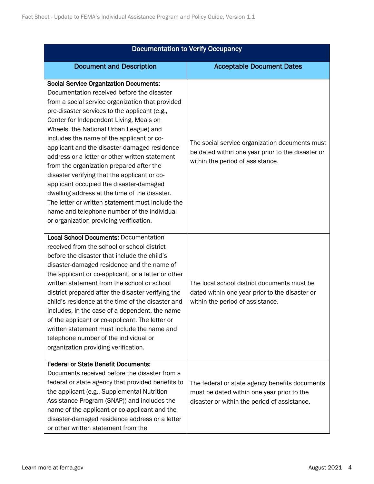| <b>Documentation to Verify Occupancy</b>                                                                                                                                                                                                                                                                                                                                                                                                                                                                                                                                                                                                                                                                                                                                   |                                                                                                                                              |
|----------------------------------------------------------------------------------------------------------------------------------------------------------------------------------------------------------------------------------------------------------------------------------------------------------------------------------------------------------------------------------------------------------------------------------------------------------------------------------------------------------------------------------------------------------------------------------------------------------------------------------------------------------------------------------------------------------------------------------------------------------------------------|----------------------------------------------------------------------------------------------------------------------------------------------|
| <b>Document and Description</b>                                                                                                                                                                                                                                                                                                                                                                                                                                                                                                                                                                                                                                                                                                                                            | <b>Acceptable Document Dates</b>                                                                                                             |
| <b>Social Service Organization Documents:</b><br>Documentation received before the disaster<br>from a social service organization that provided<br>pre-disaster services to the applicant (e.g.,<br>Center for Independent Living, Meals on<br>Wheels, the National Urban League) and<br>includes the name of the applicant or co-<br>applicant and the disaster-damaged residence<br>address or a letter or other written statement<br>from the organization prepared after the<br>disaster verifying that the applicant or co-<br>applicant occupied the disaster-damaged<br>dwelling address at the time of the disaster.<br>The letter or written statement must include the<br>name and telephone number of the individual<br>or organization providing verification. | The social service organization documents must<br>be dated within one year prior to the disaster or<br>within the period of assistance.      |
| <b>Local School Documents: Documentation</b><br>received from the school or school district<br>before the disaster that include the child's<br>disaster-damaged residence and the name of<br>the applicant or co-applicant, or a letter or other<br>written statement from the school or school<br>district prepared after the disaster verifying the<br>child's residence at the time of the disaster and<br>includes, in the case of a dependent, the name<br>of the applicant or co-applicant. The letter or<br>written statement must include the name and<br>telephone number of the individual or<br>organization providing verification.                                                                                                                            | The local school district documents must be<br>dated within one year prior to the disaster or<br>within the period of assistance.            |
| <b>Federal or State Benefit Documents:</b><br>Documents received before the disaster from a<br>federal or state agency that provided benefits to<br>the applicant (e.g., Supplemental Nutrition<br>Assistance Program (SNAP)) and includes the<br>name of the applicant or co-applicant and the<br>disaster-damaged residence address or a letter<br>or other written statement from the                                                                                                                                                                                                                                                                                                                                                                                   | The federal or state agency benefits documents<br>must be dated within one year prior to the<br>disaster or within the period of assistance. |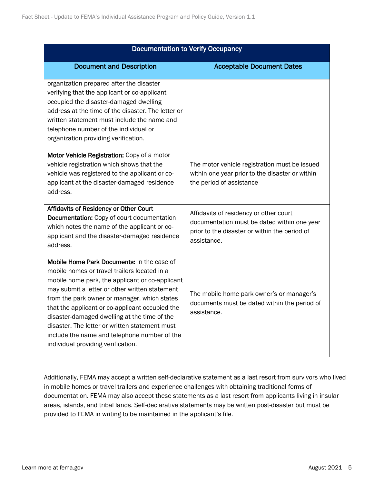| <b>Documentation to Verify Occupancy</b>                                                                                                                                                                                                                                                                                                                                                                                                                                                   |                                                                                                                                                       |
|--------------------------------------------------------------------------------------------------------------------------------------------------------------------------------------------------------------------------------------------------------------------------------------------------------------------------------------------------------------------------------------------------------------------------------------------------------------------------------------------|-------------------------------------------------------------------------------------------------------------------------------------------------------|
| <b>Document and Description</b>                                                                                                                                                                                                                                                                                                                                                                                                                                                            | <b>Acceptable Document Dates</b>                                                                                                                      |
| organization prepared after the disaster<br>verifying that the applicant or co-applicant<br>occupied the disaster-damaged dwelling<br>address at the time of the disaster. The letter or<br>written statement must include the name and<br>telephone number of the individual or<br>organization providing verification.                                                                                                                                                                   |                                                                                                                                                       |
| Motor Vehicle Registration: Copy of a motor<br>vehicle registration which shows that the<br>vehicle was registered to the applicant or co-<br>applicant at the disaster-damaged residence<br>address.                                                                                                                                                                                                                                                                                      | The motor vehicle registration must be issued<br>within one year prior to the disaster or within<br>the period of assistance                          |
| Affidavits of Residency or Other Court<br>Documentation: Copy of court documentation<br>which notes the name of the applicant or co-<br>applicant and the disaster-damaged residence<br>address.                                                                                                                                                                                                                                                                                           | Affidavits of residency or other court<br>documentation must be dated within one year<br>prior to the disaster or within the period of<br>assistance. |
| Mobile Home Park Documents: In the case of<br>mobile homes or travel trailers located in a<br>mobile home park, the applicant or co-applicant<br>may submit a letter or other written statement<br>from the park owner or manager, which states<br>that the applicant or co-applicant occupied the<br>disaster-damaged dwelling at the time of the<br>disaster. The letter or written statement must<br>include the name and telephone number of the<br>individual providing verification. | The mobile home park owner's or manager's<br>documents must be dated within the period of<br>assistance.                                              |

Additionally, FEMA may accept a written self-declarative statement as a last resort from survivors who lived in mobile homes or travel trailers and experience challenges with obtaining traditional forms of documentation. FEMA may also accept these statements as a last resort from applicants living in insular areas, islands, and tribal lands. Self-declarative statements may be written post-disaster but must be provided to FEMA in writing to be maintained in the applicant's file.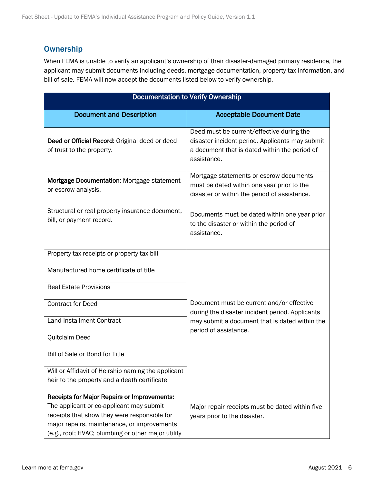#### **Ownership**

When FEMA is unable to verify an applicant's ownership of their disaster-damaged primary residence, the applicant may submit documents including deeds, mortgage documentation, property tax information, and bill of sale. FEMA will now accept the documents listed below to verify ownership.

| <b>Documentation to Verify Ownership</b>                                                    |                                                                                                                                                              |
|---------------------------------------------------------------------------------------------|--------------------------------------------------------------------------------------------------------------------------------------------------------------|
| <b>Document and Description</b>                                                             | <b>Acceptable Document Date</b>                                                                                                                              |
| Deed or Official Record: Original deed or deed<br>of trust to the property.                 | Deed must be current/effective during the<br>disaster incident period. Applicants may submit<br>a document that is dated within the period of<br>assistance. |
| Mortgage Documentation: Mortgage statement<br>or escrow analysis.                           | Mortgage statements or escrow documents<br>must be dated within one year prior to the<br>disaster or within the period of assistance.                        |
| Structural or real property insurance document,<br>bill, or payment record.                 | Documents must be dated within one year prior<br>to the disaster or within the period of<br>assistance.                                                      |
| Property tax receipts or property tax bill                                                  |                                                                                                                                                              |
| Manufactured home certificate of title                                                      |                                                                                                                                                              |
| <b>Real Estate Provisions</b>                                                               |                                                                                                                                                              |
| <b>Contract for Deed</b>                                                                    | Document must be current and/or effective<br>during the disaster incident period. Applicants                                                                 |
| <b>Land Installment Contract</b>                                                            | may submit a document that is dated within the<br>period of assistance.                                                                                      |
| Quitclaim Deed                                                                              |                                                                                                                                                              |
| Bill of Sale or Bond for Title                                                              |                                                                                                                                                              |
| Will or Affidavit of Heirship naming the applicant                                          |                                                                                                                                                              |
| heir to the property and a death certificate                                                |                                                                                                                                                              |
| Receipts for Major Repairs or Improvements:                                                 |                                                                                                                                                              |
| The applicant or co-applicant may submit                                                    | Major repair receipts must be dated within five                                                                                                              |
| receipts that show they were responsible for<br>major repairs, maintenance, or improvements | years prior to the disaster.                                                                                                                                 |
| (e.g., roof; HVAC; plumbing or other major utility                                          |                                                                                                                                                              |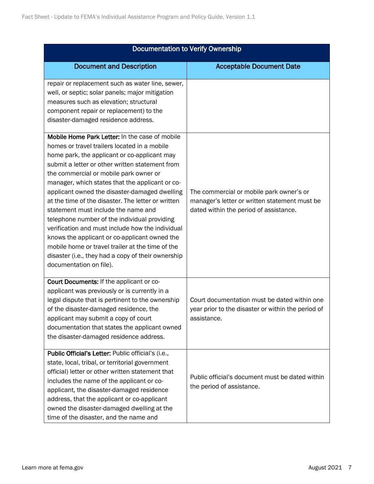| <b>Documentation to Verify Ownership</b>                                                                                                                                                                                                                                                                                                                                                                                                                                                                                                                                                                                                                                                                                               |                                                                                                                                     |
|----------------------------------------------------------------------------------------------------------------------------------------------------------------------------------------------------------------------------------------------------------------------------------------------------------------------------------------------------------------------------------------------------------------------------------------------------------------------------------------------------------------------------------------------------------------------------------------------------------------------------------------------------------------------------------------------------------------------------------------|-------------------------------------------------------------------------------------------------------------------------------------|
| <b>Document and Description</b>                                                                                                                                                                                                                                                                                                                                                                                                                                                                                                                                                                                                                                                                                                        | <b>Acceptable Document Date</b>                                                                                                     |
| repair or replacement such as water line, sewer,<br>well, or septic; solar panels; major mitigation<br>measures such as elevation; structural<br>component repair or replacement) to the<br>disaster-damaged residence address.                                                                                                                                                                                                                                                                                                                                                                                                                                                                                                        |                                                                                                                                     |
| Mobile Home Park Letter: In the case of mobile<br>homes or travel trailers located in a mobile<br>home park, the applicant or co-applicant may<br>submit a letter or other written statement from<br>the commercial or mobile park owner or<br>manager, which states that the applicant or co-<br>applicant owned the disaster-damaged dwelling<br>at the time of the disaster. The letter or written<br>statement must include the name and<br>telephone number of the individual providing<br>verification and must include how the individual<br>knows the applicant or co-applicant owned the<br>mobile home or travel trailer at the time of the<br>disaster (i.e., they had a copy of their ownership<br>documentation on file). | The commercial or mobile park owner's or<br>manager's letter or written statement must be<br>dated within the period of assistance. |
| Court Documents: If the applicant or co-<br>applicant was previously or is currently in a<br>legal dispute that is pertinent to the ownership<br>of the disaster-damaged residence, the<br>applicant may submit a copy of court<br>documentation that states the applicant owned<br>the disaster-damaged residence address.                                                                                                                                                                                                                                                                                                                                                                                                            | Court documentation must be dated within one<br>year prior to the disaster or within the period of<br>assistance.                   |
| Public Official's Letter: Public official's (i.e.,<br>state, local, tribal, or territorial government<br>official) letter or other written statement that<br>includes the name of the applicant or co-<br>applicant, the disaster-damaged residence<br>address, that the applicant or co-applicant<br>owned the disaster-damaged dwelling at the<br>time of the disaster, and the name and                                                                                                                                                                                                                                                                                                                                             | Public official's document must be dated within<br>the period of assistance.                                                        |